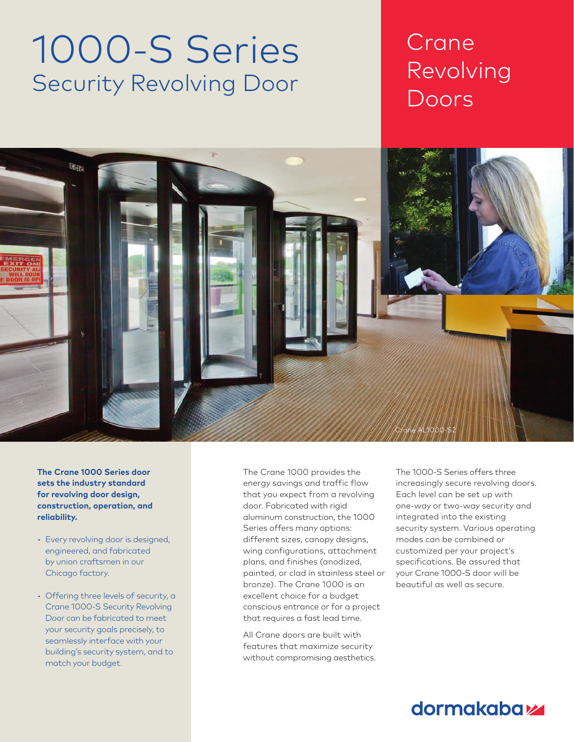# 1000-S Series Security Revolving Door

## Crane Revolving Doors

Chapter Title Section Title



**The Crane 1000 Series door sets the industry standard for revolving door design, construction, operation, and reliability.**

- Every revolving door is designed, engineered, and fabricated by union craftsmen in our Chicago factory.
- Offering three levels of security, a Crane 1000-S Security Revolving Door can be fabricated to meet your security goals precisely, to seamlessly interface with your building's security system, and to match your budget.

The Crane 1000 provides the energy savings and traffic flow that you expect from a revolving door. Fabricated with rigid aluminum construction, the 1000 Series offers many options: different sizes, canopy designs, wing configurations, attachment plans, and finishes (anodized, painted, or clad in stainless steel or bronze). The Crane 1000 is an excellent choice for a budget conscious entrance or for a project that requires a fast lead time.

All Crane doors are built with features that maximize security without compromising aesthetics. The 1000-S Series offers three increasingly secure revolving doors. Each level can be set up with one-way or two-way security and integrated into the existing security system. Various operating modes can be combined or customized per your project's specifications. Be assured that your Crane 1000-S door will be beautiful as well as secure.

### dormakaba<sub>k</sub>